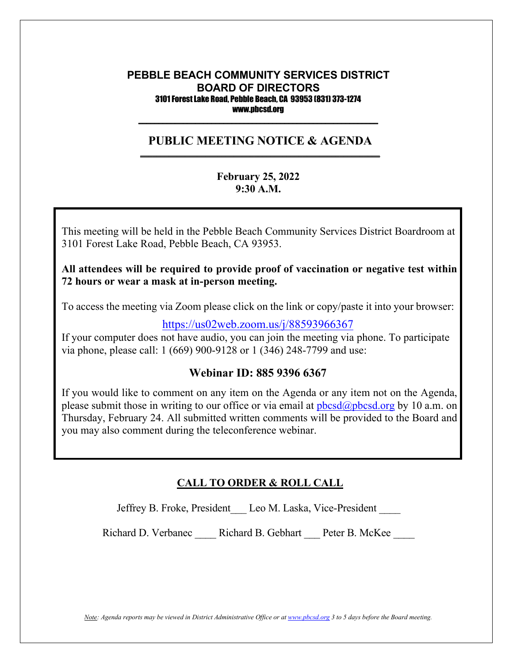#### **PEBBLE BEACH COMMUNITY SERVICES DISTRICT BOARD OF DIRECTORS** 3101 Forest Lake Road, Pebble Beach, CA 93953 (831) 373-1274 www.pbcsd.org  $\frac{1}{2}$  ,  $\frac{1}{2}$  ,  $\frac{1}{2}$  ,  $\frac{1}{2}$  ,  $\frac{1}{2}$  ,  $\frac{1}{2}$  ,  $\frac{1}{2}$  ,  $\frac{1}{2}$  ,  $\frac{1}{2}$  ,  $\frac{1}{2}$  ,  $\frac{1}{2}$  ,  $\frac{1}{2}$  ,  $\frac{1}{2}$  ,  $\frac{1}{2}$  ,  $\frac{1}{2}$  ,  $\frac{1}{2}$  ,  $\frac{1}{2}$  ,  $\frac{1}{2}$  ,  $\frac{1$

#### **PUBLIC MEETING NOTICE & AGENDA \_\_\_\_\_\_\_\_\_\_\_\_\_\_\_\_\_\_\_\_\_\_\_\_\_\_\_\_\_\_\_\_\_\_\_\_\_\_\_\_\_\_\_\_\_\_\_\_\_\_\_\_\_\_\_\_\_\_\_**

#### **February 25, 2022 9:30 A.M.**

**COVID-19 Pandemic and State of California Executive Order N-29-20** 3101 Forest Lake Road, Pebble Beach, CA 93953. This meeting will be held in the Pebble Beach Community Services District Boardroom at

#### $\mathbf{r}$  to  $\mathbf{r}$  safety  $\mathbf{r}$  safety District (PBCSD) will conduct its  $\mathbf{r}$ All attendees will be required to provide proof of vaccination or negative test within  $\overline{\phantom{a}}$ **72 hours or wear a mask at in-person meeting.**

Access information will be provided in the final agenda at least three days prior to the To access the meeting via Zoom please click on the link or copy/paste it into your browser:

#### <https://us02web.zoom.us/j/88593966367>

If your computer does not have audio, you can join the meeting via phone. To participate via phone, please call: 1 (669) 900-9128 or 1 (346) 248-7799 and use:

#### **Webinar ID: 885 9396 6367**

If you would like to comment on any item on the Agenda or any item not on the Agenda, please submit those in writing to our office or via email at  $pbcsd(\omega pbcsd, org by 10 a.m.$  on Thursday, February 24. All submitted written comments will be provided to the Board and you may also comment during the teleconference webinar.

#### **CALL TO ORDER & ROLL CALL**

Jeffrey B. Froke, President\_\_\_ Leo M. Laska, Vice-President \_\_\_\_

Richard D. Verbanec \_\_\_\_ Richard B. Gebhart \_\_\_ Peter B. McKee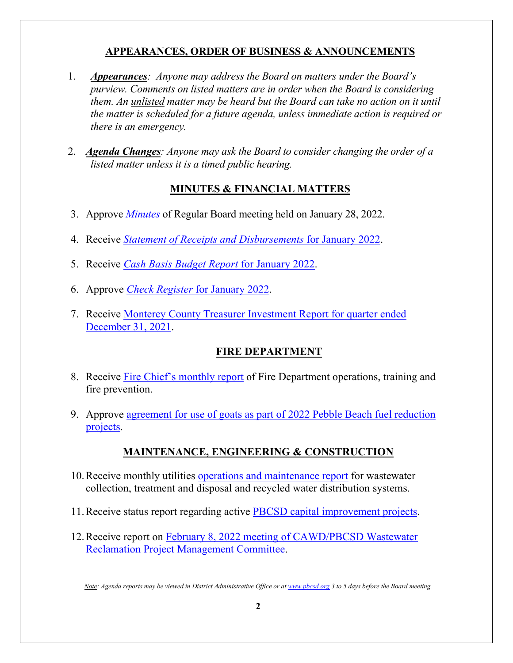# **APPEARANCES, ORDER OF BUSINESS & ANNOUNCEMENTS**

- 1. *Appearances: Anyone may address the Board on matters under the Board's purview. Comments on listed matters are in order when the Board is considering them. An unlisted matter may be heard but the Board can take no action on it until the matter is scheduled for a future agenda, unless immediate action is required or there is an emergency.*
- 2. *Agenda Changes: Anyone may ask the Board to consider changing the order of a listed matter unless it is a timed public hearing.*

# **MINUTES & FINANCIAL MATTERS**

- 3. Approve *[Minutes](https://pbcsd.org/wp-content/uploads/2022/02/03-PBCSD-Draft-minutes-for-Board-Meeting-on-January-28-2022.pdf)* of Regular Board meeting held on January 28, 2022.
- 4. Receive *[Statement of Receipts and Disbursements](https://pbcsd.org/wp-content/uploads/2022/02/04-Statement-of-Receipts-Disbursements-for-January-2022.pdf)* for January 2022.
- 5. Receive *[Cash Basis Budget Report](https://pbcsd.org/wp-content/uploads/2022/02/05-Cash-Basis-Report-for-January-2022.pdf)* for January 2022.
- 6. Approve *[Check Register](https://pbcsd.org/wp-content/uploads/2022/02/06-Check-Register-for-January-2022.pdf)* for January 2022.
- 7. Receive [Monterey County Treasurer Investment Report for quarter ended](https://pbcsd.org/wp-content/uploads/2022/02/07-Monterey-County-Treasurer-Investment-Report-for-Quarter-ended-Dec.-31-2021.pdf)  [December 31, 2021.](https://pbcsd.org/wp-content/uploads/2022/02/07-Monterey-County-Treasurer-Investment-Report-for-Quarter-ended-Dec.-31-2021.pdf)

### **FIRE DEPARTMENT**

- 8. Receive [Fire Chief's monthly report](https://pbcsd.org/wp-content/uploads/2022/02/08-Fire-Chiefs-Monthly-Report.pdf) of Fire Department operations, training and fire prevention.
- 9. Approve [agreement for use of goats as part of 2022 Pebble Beach fuel reduction](https://pbcsd.org/wp-content/uploads/2022/02/09-Fuel-Reduction-Projects-Goats-R-Us-Agreements-Authorization.pdf)  [projects.](https://pbcsd.org/wp-content/uploads/2022/02/09-Fuel-Reduction-Projects-Goats-R-Us-Agreements-Authorization.pdf)

### **MAINTENANCE, ENGINEERING & CONSTRUCTION**

- 10.Receive monthly utilities [operations and maintenance report](https://pbcsd.org/wp-content/uploads/2022/02/10-Operations-Maintenance-Report.pdf) for wastewater collection, treatment and disposal and recycled water distribution systems.
- 11.Receive status report regarding active [PBCSD capital improvement projects.](https://pbcsd.org/wp-content/uploads/2022/02/11Capital-Improvement-Projects-Report.pdf)
- 12.Receive report on [February 8, 2022 meeting of CAWD/PBCSD Wastewater](https://pbcsd.org/wp-content/uploads/2022/02/12-RMC-Meeting-Minutes-for-Feb.-8-2022.pdf)  [Reclamation Project Management Committee.](https://pbcsd.org/wp-content/uploads/2022/02/12-RMC-Meeting-Minutes-for-Feb.-8-2022.pdf)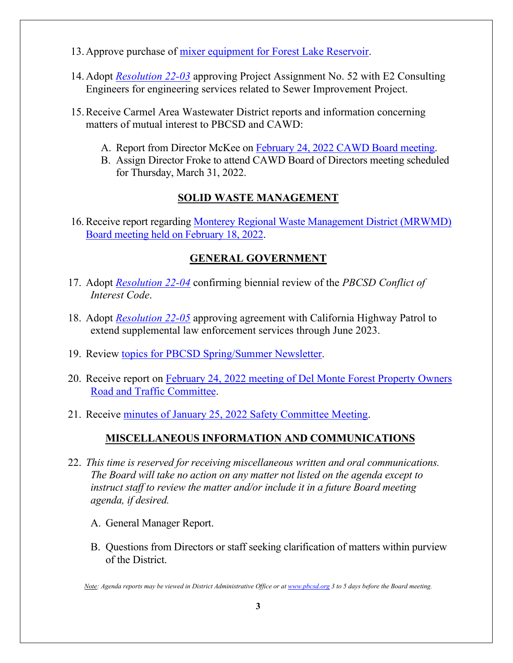- 13.Approve purchase of [mixer equipment for Forest Lake Reservoir.](https://pbcsd.org/wp-content/uploads/2022/02/13-Forest-Lake-Reservoir-Mixers.pdf)
- 14.Adopt *[Resolution 22-03](https://pbcsd.org/wp-content/uploads/2022/02/14-RES-22-03-Project-Assignment-52-for-2022-Sewer-Replacement-Project.pdf)* approving Project Assignment No. 52 with E2 Consulting Engineers for engineering services related to Sewer Improvement Project.
- 15.Receive Carmel Area Wastewater District reports and information concerning matters of mutual interest to PBCSD and CAWD:
	- A. Report from Director McKee on February 24, 2022 [CAWD Board meeting.](https://pbcsd.org/wp-content/uploads/2022/02/15-CAWD-Board-Agenda-Packet-for-February-24-2022-Meeting.pdf)
	- B. Assign Director Froke to attend CAWD Board of Directors meeting scheduled for Thursday, March 31, 2022.

# **SOLID WASTE MANAGEMENT**

16.Receive report regarding [Monterey Regional Waste Management District \(MRWMD\)](https://pbcsd.org/wp-content/uploads/2022/02/16-MRWMD-Board-Meeting-Agenda-GM-Report-for-Feb.-18-2022.pdf)  Board meeting [held on February 18, 2022.](https://pbcsd.org/wp-content/uploads/2022/02/16-MRWMD-Board-Meeting-Agenda-GM-Report-for-Feb.-18-2022.pdf)

# **GENERAL GOVERNMENT**

- 17. Adopt *[Resolution 22-04](https://pbcsd.org/wp-content/uploads/2022/02/17-RES-22-04-Conflict-of-Interest-Code.pdf)* confirming biennial review of the *PBCSD Conflict of Interest Code*.
- 18. Adopt *[Resolution 22-05](https://pbcsd.org/wp-content/uploads/2022/02/18-RES-22-05-CHP-Agreement-Extension-through-June-2023.pdf)* approving agreement with California Highway Patrol to extend supplemental law enforcement services through June 2023.
- 19. Review [topics for PBCSD Spring/Summer Newsletter.](https://pbcsd.org/wp-content/uploads/2022/02/19-2022-Spring_Summer-Newsletter-Topics.pdf)
- 20. Receive report on [February 24, 2022 meeting of Del Monte Forest Property Owners](https://pbcsd.org/wp-content/uploads/2022/02/20-DMFPO-Roads-Traffic-Committee-Meeting-Agenda-Packet-for-Feb.-24-2022.pdf)  [Road and Traffic Committee.](https://pbcsd.org/wp-content/uploads/2022/02/20-DMFPO-Roads-Traffic-Committee-Meeting-Agenda-Packet-for-Feb.-24-2022.pdf)
- 21. Receive [minutes of January 25, 2022 Safety Committee Meeting.](https://pbcsd.org/wp-content/uploads/2022/02/21-Safety-Committee-Meeting-Minutes-for-January-25-2022.pdf)

# **MISCELLANEOUS INFORMATION AND COMMUNICATIONS**

- 22. *This time is reserved for receiving miscellaneous written and oral communications. The Board will take no action on any matter not listed on the agenda except to instruct staff to review the matter and/or include it in a future Board meeting agenda, if desired.*
	- A. General Manager Report.
	- B. Questions from Directors or staff seeking clarification of matters within purview of the District.